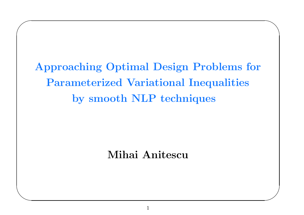Approaching Optimal Design Problems for Parameterized Variational Inequalities by smooth NLP techniques

 $\bigwedge$ 

 $\bigvee$ 

 $\bigg($ 

 $\setminus$ 

Mihai Anitescu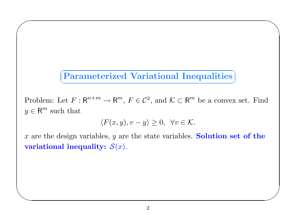#### $\sqrt{2}$ ✝✆Parameterized Variational Inequalities

 $\bigwedge$ 

 $\bigvee$ 

 $\bigg($ 

 $\setminus$ 

Problem: Let  $F: \mathsf{R}^{n+m} \to \mathsf{R}^m$ ,  $F \in \mathcal{C}^2$ , and  $\mathcal{K} \subset \mathsf{R}^m$  be a convex set. Find  $y \in \mathsf{R}^m$  such that

$$
\langle F(x,y), v - y \rangle \ge 0, \ \forall v \in \mathcal{K}.
$$

x are the design variables, y are the state variables. Solution set of the variational inequality:  $\mathcal{S}(x).$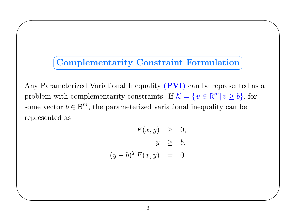## ✞ ☎ ✝✆ Complementarity Constraint Formulation

 $\bigwedge$ 

 $\bigvee$ 

 $\bigg($ 

 $\setminus$ 

Any Parameterized Variational Inequality (PVI) can be represented as a problem with complementarity constraints. If  $\mathcal{K} = \{v \in \mathbb{R}^m | v \ge b\}$ , for some vector  $b \in \mathbb{R}^m$ , the parameterized variational inequality can be represented as

$$
F(x, y) \geq 0,
$$
  

$$
y \geq b,
$$
  

$$
(y - b)^T F(x, y) = 0.
$$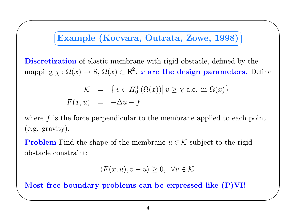## ✞ ☎ Example (Kocvara, Outrata, Zowe, 1998) ✝✆

 $\bigwedge$ 

 $\bigvee$ 

 $\bigg($ 

**Discretization** of elastic membrane with rigid obstacle, defined by the mapping  $\chi : \Omega(x) \to \mathsf{R}, \Omega(x) \subset \mathsf{R}^2$ . x are the design parameters. Define

$$
\mathcal{K} = \{ v \in H_0^1(\Omega(x)) | v \ge \chi \text{ a.e. in } \Omega(x) \}
$$

$$
F(x, u) = -\Delta u - f
$$

where  $f$  is the force perpendicular to the membrane applied to each point (e.g. gravity).

**Problem** Find the shape of the membrane  $u \in \mathcal{K}$  subject to the rigid obstacle constraint:

$$
\langle F(x, u), v - u \rangle \ge 0, \ \forall v \in \mathcal{K}.
$$

✫Most free boundary problems can be expressed like (P)VI!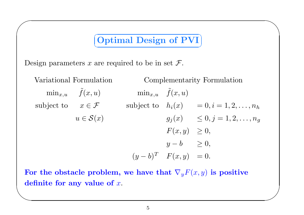## Optimal Design of PVI ✝✆

 $\bigwedge$ 

 $\bigvee$ 

Design parameters x are required to be in set  $\mathcal{F}$ .

 $\bigg($ 

Variational Formulation Complementarity Formulation  $\min_{x,u}\quad \tilde f$  $\tilde{f}(x,u)$  min<sub> $x,u$ </sub>  $\tilde{f}$ subject to  $x \in \mathcal{F}$  subject to  $h_i(x) = 0, i = 1, 2, \ldots, n_h$  $u \in \mathcal{S}(x)$  $f(x,u)$  $g_j(x) \leq 0, j = 1, 2, \ldots, n_q$  $F(x, y) \geq 0,$  $y - b$   $\geq 0$ ,  $(y - b)^T$   $F(x, y) = 0.$ 

 $\setminus$ For the obstacle problem, we have that  $\nabla_y F(x,y)$  is positive definite for any value of  $x.$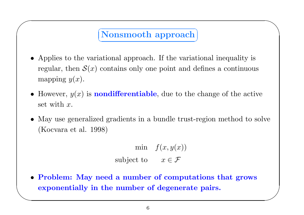### Nonsmooth approach ✝✆

 $\bigwedge$ 

 $\bigvee$ 

 $\bigg($ 

 $\setminus$ 

- Applies to the variational approach. If the variational inequality is regular, then  $S(x)$  contains only one point and defines a continuous mapping  $y(x)$ .
- However,  $y(x)$  is **nondifferentiable**, due to the change of the active  $\operatorname{set}\nolimits$  with  $x.$
- May use generalized gradients in <sup>a</sup> bundle trust-region method to solve (Kocvara et al. 1998)

 $\min \quad f(x,y(x))$ subject to  $x \in \mathcal{F}$ 

• Problem: May need <sup>a</sup> number of computations that grows exponentially in the number of degenerate pairs.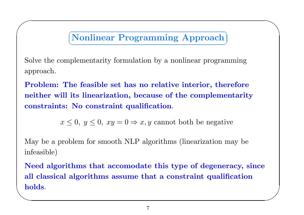### ✞ ☎ Nonlinear Programming Approach ✝✆

 $\bigwedge$ 

Solve the complementarity formulation by <sup>a</sup> nonlinear programming approach.

 $\bigg($ 

Problem: The feasible set has no relative interior, therefore neither will its linearization, because of the complementarity constraints: No constraint qualification.

 $x \leq 0, y \leq 0, xy = 0 \Rightarrow x, y$  cannot both be negative

May be <sup>a</sup> problem for smooth NLP algorithms (linearization may be infeasible)

**holds**.  $\bigvee$ Need algorithms that accomodate this type of degeneracy, since all classical algorithms assume that <sup>a</sup> constraint qualification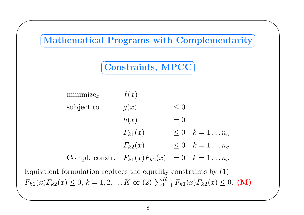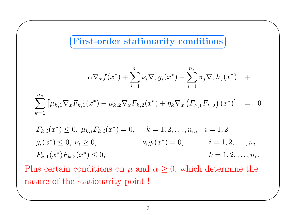$\subset$ ✝☎ ✆First-order stationarity conditions

 $\bigg($ 

$$
\alpha \nabla_x f(x^*) + \sum_{i=1}^{n_i} \nu_i \nabla_x g_i(x^*) + \sum_{j=1}^{n_e} \pi_j \nabla_x h_j(x^*) +
$$

 $\bigwedge$ 

 $\bigvee$ 

$$
\sum_{k=1}^{n_c} \left[ \mu_{k,1} \nabla_x F_{k,1}(x^*) + \mu_{k,2} \nabla_x F_{k,2}(x^*) + \eta_k \nabla_x \left( F_{k,1} F_{k,2} \right)(x^*) \right] = 0
$$

$$
F_{k,i}(x^*) \le 0, \ \mu_{k,i} F_{k,i}(x^*) = 0, \qquad k = 1, 2, \dots, n_c, \quad i = 1, 2
$$
  
\n
$$
g_i(x^*) \le 0, \ \nu_i \ge 0, \qquad \qquad \nu_i g_i(x^*) = 0, \qquad i = 1, 2, \dots, n_i
$$
  
\n
$$
F_{k,1}(x^*) F_{k,2}(x^*) \le 0, \qquad k = 1, 2, \dots, n_c.
$$

 $\setminus$ Plus certain conditions on  $\mu$  and  $\alpha \geq 0$ , which determine the nature of the stationarity point !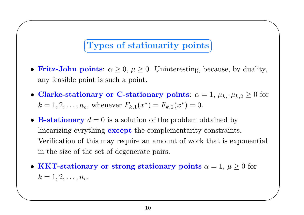### ✞ ☎ Types of stationarity points ✝✆

 $\bigwedge$ 

 $\bigvee$ 

 $\bigg($ 

 $\setminus$ 

- Fritz-John points:  $\alpha \geq 0$ ,  $\mu \geq 0$ . Uninteresting, because, by duality, any feasible point is such <sup>a</sup> point.
- Clarke-stationary or C-stationary points:  $\alpha = 1, \, \mu_{k,1} \mu_{k,2} \geq 0$  for  $k = 1, 2, \ldots, n_c$ , whenever  $F_{k,1}(x^*) = F_{k,2}(x^*) = 0$ .
- B-stationary  $d = 0$  is a solution of the problem obtained by linearizing evrything **except** the complementarity constraints. Verification of this may require an amount of work that is exponential in the size of the set of degenerate pairs.
- KKT-stationary or strong stationary points  $\alpha = 1, \, \mu \geq 0$  for  $k=1,2,\ldots,n_c.$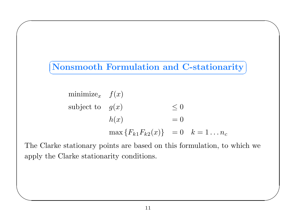$\subset$ ✝☎ ✆Nonsmooth Formulation and C-stationarity

 $\bigwedge$ 

 $\bigvee$ 

 $\bigg($ 

 $\setminus$ 

minimize<sub>x</sub> 
$$
f(x)
$$
  
\nsubject to  $g(x)$   $\leq 0$   
\n $h(x)$  = 0  
\n
$$
\max \{ F_{k1} F_{k2}(x) \} = 0 \quad k = 1...n_c
$$

The Clarke stationary points are based on this formulation, to which we apply the Clarke stationarity conditions.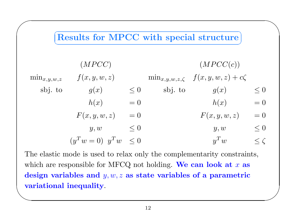

**variational inequality.** The elastic mode is used to relax only the complementarity constraints, which are responsible for MFCQ not holding. We can look at  $x$  as design variables and  $y, w, z$  as state variables of a parametric

 $\bigvee$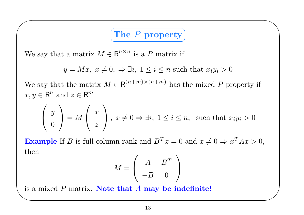### The P property ✝✆

 $\bigwedge$ 

 $\bigvee$ 

We say that a matrix  $M \in \mathbb{R}^{n \times n}$  is a P matrix if

 $\bigg($ 

 $y = Mx, x \neq 0, \Rightarrow \exists i, 1 \leq i \leq n$  such that  $x_i y_i > 0$ 

We say that the matrix  $M \in \mathsf{R}^{(n+m)\times (n+m)}$  has the mixed P property if  $x, y \in \mathbb{R}^n$  and  $z \in \mathbb{R}^m$ 

$$
\left(\begin{array}{c}y\\0\end{array}\right) = M\left(\begin{array}{c}x\\z\end{array}\right), x \neq 0 \Rightarrow \exists i, 1 \le i \le n, \text{ such that } x_i y_i > 0
$$

**Example** If B is full column rank and  $B^T x = 0$  and  $x \neq 0 \Rightarrow x^T A x > 0$ ,  $_{\rm then}$ 

$$
M=\left(\begin{array}{cc}A&B^T\\-B&0\end{array}\right)
$$

is a mixed  $P$  matrix. Note that  $A$  may be indefinite!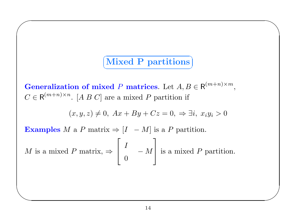### Mixed P partitions ✝✆

 $\bigwedge$ 

 $\bigvee$ 

Generalization of mixed P matrices. Let  $A, B \in \mathsf{R}^{(m+n) \times m},$  $C \in \mathsf{R}^{(m+n)\times n}$ . [A B C] are a mixed P partition if

$$
(x, y, z) \neq 0, Ax + By + Cz = 0, \Rightarrow \exists i, x_i y_i > 0
$$

Examples M a P matrix  $\Rightarrow$  [I – M] is a P partition.

 $\bigg($ 

 $\setminus$ 

 $M \,$ *M* is a mixed *P* matrix,  $\Rightarrow$   $\begin{bmatrix} I & -M \ 0 & 0 \end{bmatrix}$  is a mixed *P* partition.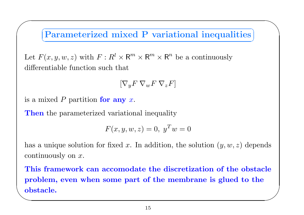### ✞ ☎ Parameterized mixed P variational inequalities ✝✆

 $\bigwedge$ 

Let  $F(x, y, w, z)$  with  $F: R^l \times \mathsf{R}^m \times \mathsf{R}^m \times \mathsf{R}^n$  be a continuously differentiable function such that

$$
[\nabla_y F \ \nabla_w F \ \nabla_z F]
$$

is a mixed  $P$  partition for any  $x$ .

 $\bigg($ 

**Then** the parameterized variational inequality

$$
F(x, y, w, z) = 0, y^T w = 0
$$

has a unique solution for fixed x. In addition, the solution  $(y, w, z)$  depends continuously on x.

✫obstacle.  $\bigvee$ This framework can accomodate the discretization of the obstacle problem, even when some part of the membrane is glued to the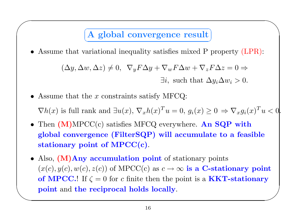### A global convergence result ✝✆

 $\bigwedge$ 

• Assume that variational inequality satisfies mixed P property (LPR):

$$
(\Delta y, \Delta w, \Delta z) \neq 0, \ \nabla_y F \Delta y + \nabla_w F \Delta w + \nabla_z F \Delta z = 0 \Rightarrow
$$
  
\n
$$
\exists i, \text{ such that } \Delta y_i \Delta w_i > 0.
$$

• Assume that the  $x$  constraints satisfy MFCQ:

 $\bigg($ 

 $\nabla h(x)$  is full rank and  $\exists u(x), \nabla_x h(x)^T u = 0, g_i(x) \geq 0 \Rightarrow \nabla_x g_i(x)^T u < 0.$ 

- Then  $(M)$ MPCC $(c)$  satisfies MFCQ everywhere. An SQP with <sup>g</sup>lobal convergence (FilterSQP) will accumulate to <sup>a</sup> feasible stationary point of MPCC(c).
- $\setminus$  $\bigvee$ • Also, (M)Any accumulation point of stationary points  $(x(c), y(c), w(c), z(c))$  of MPCC(c) as  $c \to \infty$  is a C-stationary point of MPCC.! If  $\zeta = 0$  for c finite then the point is a **KKT-stationary** point and the reciprocal holds locally.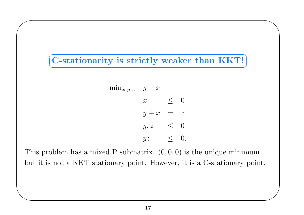✞ ☎ ✝ $\bf C$ -stationarity is strictly weaker than  $\bf KKT!$   $\bf$   $\bigwedge$ 

 $\bigvee$ 

 $\bigg($ 

 $\setminus$ 

$$
\begin{array}{rcl}\n\min_{x,y,z} & y-x \\
x & \leq 0 \\
y+x & = z \\
y,z & \leq 0 \\
yz & \leq 0.\n\end{array}
$$

This problem has a mixed P submatrix.  $(0,0,0)$  is the unique minimum but it is not a KKT stationary point. However, it is <sup>a</sup> C-stationary point.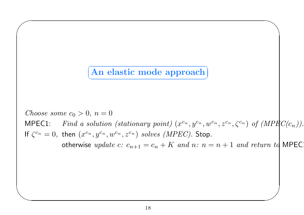#### $\sqrt{1 + \left(1 + \frac{1}{2}\right)^2 + \left(1 + \frac{1}{2}\right)^2}$ ✝✆An elastic mode approach

 $\bigg($ 

 $\setminus$ 

 $Choose\; some\; c_0>0,\: n=0$  $MPEC1$ :  $a \; a \; solution \; (stationary \; point) \; (x^{c_n}, y^{c_n}, w^{c_n}, z^{c_n}, \zeta^{c_n}) \; \; of \; (MPECC(c_n)).$ If  $\zeta^{c_n}=0,$  then  $(x^{c_n},y^{c_n},w^{c_n},z^{c_n})$   $solves$   $(MPEC).$  Stop. otherwise  $\emph{update c: } c_{n+1} = c_n + K \emph{ and } n \emph{: } n = n+1 \emph{ and return } t$ d MPEC:

 $\bigwedge$ 

 $\bigvee$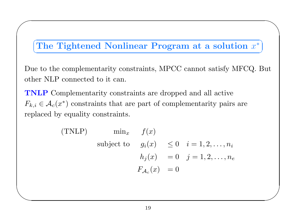# The Tightened Nonlinear Program at a solution  $x^*$ ✝

 $\bigwedge$ 

✆

 $\bigvee$ 

 $\bigg($ 

 $\setminus$ 

Due to the complementarity constraints, MPCC cannot satisfy MFCQ. But other NLP connected to it can.

TNLP Complementarity constraints are dropped and all active  $F_{k,i} \in \mathcal{A}_c(x^*)$  constraints that are part of complementarity pairs are replaced by equality constraints.

(TNLP) 
$$
\min_x
$$
  $f(x)$   
\nsubject to  $g_i(x) \le 0$   $i = 1, 2, ..., n_i$   
\n $h_j(x) = 0$   $j = 1, 2, ..., n_e$   
\n $F_{\mathcal{A}_c}(x) = 0$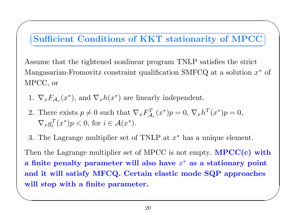#### $\subset$ ✝☎ ✆Sufficient Conditions of KKT stationarity of MPCC

 $\sum_{i=1}^n$ 

Assume that the tightened nonlinear program TNLP satisfies the strict Mangasarian-Fromovitz constraint qualification SMFCQ at a solution  $x^*$  of MPCC, or

1.  $\nabla_x F_{\mathcal{A}_c}(x^*)$ , and  $\nabla_x h(x^*)$  are linearly independent.

 $\bigcap$ 

- 2. There exists  $p \neq 0$  such that  $\nabla_x F_{\mathcal{A}_c}^T(x^*)p = 0, \nabla_x h^T(x^*)p = 0$ ,  $\nabla_x g_i^T(x^*)p < 0, \text{ for } i \in \mathcal{A}(x^*).$
- 3. The Lagrange multiplier set of TNLP at  $x^*$  has a unique element.

 $\begin{pmatrix} 1 & 1 \\ 1 & 1 \end{pmatrix}$  $\bigvee$ Then the Lagrange multiplier set of MPCC is not empty.  $\text{MPCC}(\textbf{c})$  with a finite penalty parameter will also have  $x^*$  as a stationary point and it will satisfy MFCQ. Certain elastic mode SQP approaches will stop with <sup>a</sup> finite parameter.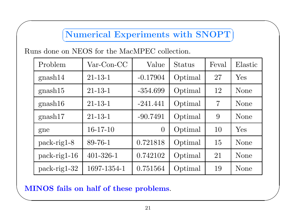#### $\subset$ ✝☎ ✆Numerical Experiments with SNOPT

 $\bigwedge$ 

 $\bigvee$ 

 $\bigg($ 

| Problem        | $Var\text{-}\mathrm{Con}\text{-}\mathrm{CC}$ | Value          | Status  | Feval          | Elastic     |
|----------------|----------------------------------------------|----------------|---------|----------------|-------------|
| gnash14        | $21 - 13 - 1$                                | $-0.17904$     | Optimal | 27             | Yes         |
| gnash15        | $21 - 13 - 1$                                | $-354.699$     | Optimal | 12             | None        |
| gnash16        | $21 - 13 - 1$                                | $-241.441$     | Optimal | $\overline{7}$ | None        |
| gnash17        | $21 - 13 - 1$                                | $-90.7491$     | Optimal | 9              | None        |
| gne            | $16-17-10$                                   | $\overline{0}$ | Optimal | 10             | Yes         |
| $pack-rig1-8$  | 89-76-1                                      | 0.721818       | Optimal | 15             | <b>None</b> |
| $pack-rig1-16$ | $401 - 326 - 1$                              | 0.742102       | Optimal | 21             | None        |
| $pack-rig1-32$ | 1697-1354-1                                  | 0.751564       | Optimal | 19             | <b>None</b> |

# ✫MINOS fails on half of these problems.